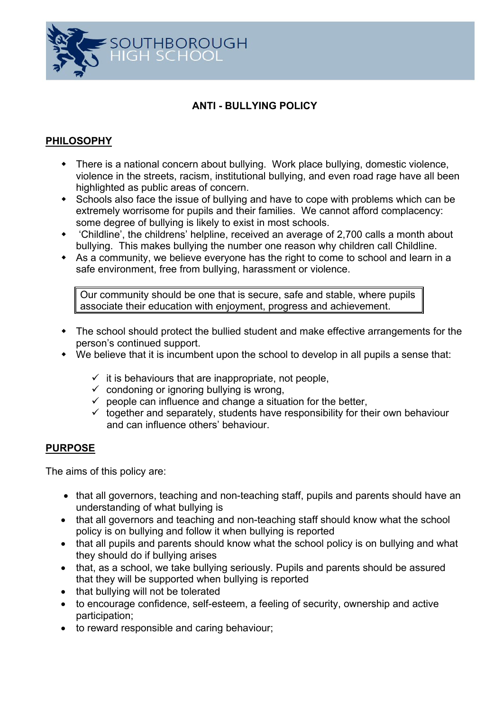

## **ANTI - BULLYING POLICY**

# **PHILOSOPHY**

- There is a national concern about bullying. Work place bullying, domestic violence, violence in the streets, racism, institutional bullying, and even road rage have all been highlighted as public areas of concern.
- Schools also face the issue of bullying and have to cope with problems which can be extremely worrisome for pupils and their families. We cannot afford complacency: some degree of bullying is likely to exist in most schools.
- 'Childline', the childrens' helpline, received an average of 2,700 calls a month about bullying. This makes bullying the number one reason why children call Childline.
- As a community, we believe everyone has the right to come to school and learn in a safe environment, free from bullying, harassment or violence.

Our community should be one that is secure, safe and stable, where pupils associate their education with enjoyment, progress and achievement.

- The school should protect the bullied student and make effective arrangements for the person's continued support.
- We believe that it is incumbent upon the school to develop in all pupils a sense that:
	- $\checkmark$  it is behaviours that are inappropriate, not people,
	- $\checkmark$  condoning or ignoring bullying is wrong,
	- $\checkmark$  people can influence and change a situation for the better,
	- $\checkmark$  together and separately, students have responsibility for their own behaviour and can influence others' behaviour.

## **PURPOSE**

The aims of this policy are:

- that all governors, teaching and non-teaching staff, pupils and parents should have an understanding of what bullying is
- that all governors and teaching and non-teaching staff should know what the school policy is on bullying and follow it when bullying is reported
- that all pupils and parents should know what the school policy is on bullying and what they should do if bullying arises
- that, as a school, we take bullying seriously. Pupils and parents should be assured that they will be supported when bullying is reported
- that bullying will not be tolerated
- to encourage confidence, self-esteem, a feeling of security, ownership and active participation;
- to reward responsible and caring behaviour;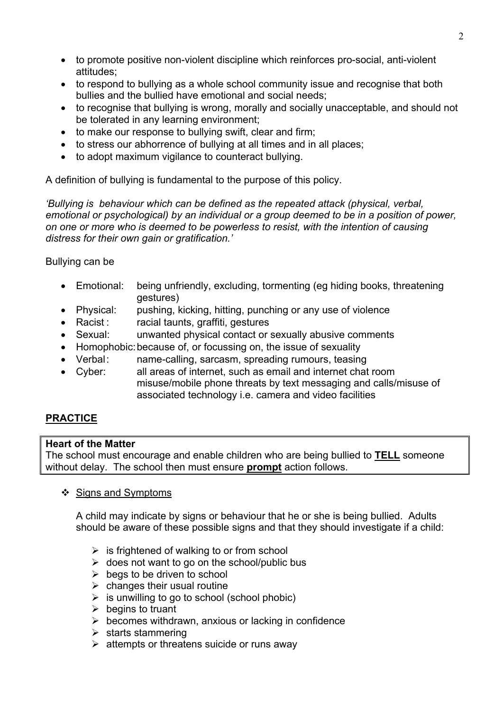- to promote positive non-violent discipline which reinforces pro-social, anti-violent attitudes;
- to respond to bullying as a whole school community issue and recognise that both bullies and the bullied have emotional and social needs;
- to recognise that bullying is wrong, morally and socially unacceptable, and should not be tolerated in any learning environment;
- to make our response to bullying swift, clear and firm;
- to stress our abhorrence of bullying at all times and in all places;
- to adopt maximum vigilance to counteract bullying.

A definition of bullying is fundamental to the purpose of this policy.

*'Bullying is behaviour which can be defined as the repeated attack (physical, verbal, emotional or psychological) by an individual or a group deemed to be in a position of power, on one or more who is deemed to be powerless to resist, with the intention of causing distress for their own gain or gratification.'*

## Bullying can be

- Emotional: being unfriendly, excluding, tormenting (eg hiding books, threatening gestures)
- Physical: pushing, kicking, hitting, punching or any use of violence
- Racist : racial taunts, graffiti, gestures
- Sexual: unwanted physical contact or sexually abusive comments
- Homophobic: because of, or focussing on, the issue of sexuality
- Verbal: name-calling, sarcasm, spreading rumours, teasing
- Cyber: all areas of internet, such as email and internet chat room misuse/mobile phone threats by text messaging and calls/misuse of associated technology i.e. camera and video facilities

# **PRACTICE**

## **Heart of the Matter**

The school must encourage and enable children who are being bullied to **TELL** someone without delay. The school then must ensure **prompt** action follows.

## ❖ Signs and Symptoms

A child may indicate by signs or behaviour that he or she is being bullied. Adults should be aware of these possible signs and that they should investigate if a child:

- $\triangleright$  is frightened of walking to or from school
- $\triangleright$  does not want to go on the school/public bus
- $\triangleright$  begs to be driven to school
- $\triangleright$  changes their usual routine
- $\triangleright$  is unwilling to go to school (school phobic)
- $\triangleright$  begins to truant
- $\triangleright$  becomes withdrawn, anxious or lacking in confidence
- $\triangleright$  starts stammering
- $\triangleright$  attempts or threatens suicide or runs away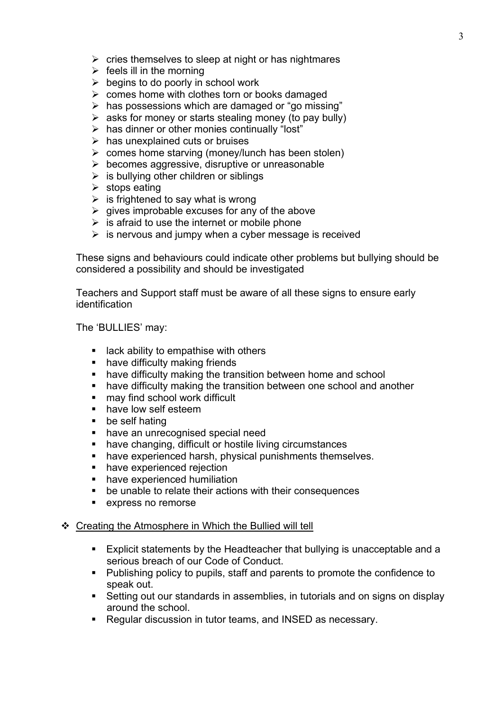- $\triangleright$  cries themselves to sleep at night or has nightmares
- $\triangleright$  feels ill in the morning
- $\triangleright$  begins to do poorly in school work
- $\triangleright$  comes home with clothes torn or books damaged
- $\triangleright$  has possessions which are damaged or "go missing"
- $\triangleright$  asks for money or starts stealing money (to pay bully)
- $\triangleright$  has dinner or other monies continually "lost"
- $\triangleright$  has unexplained cuts or bruises
- $\triangleright$  comes home starving (money/lunch has been stolen)
- $\triangleright$  becomes aggressive, disruptive or unreasonable
- $\triangleright$  is bullying other children or siblings
- $\triangleright$  stops eating
- $\triangleright$  is frightened to say what is wrong
- $\triangleright$  gives improbable excuses for any of the above
- $\triangleright$  is afraid to use the internet or mobile phone
- $\triangleright$  is nervous and jumpy when a cyber message is received

These signs and behaviours could indicate other problems but bullying should be considered a possibility and should be investigated

Teachers and Support staff must be aware of all these signs to ensure early identification

The 'BULLIES' may:

- $\blacksquare$  lack ability to empathise with others
- have difficulty making friends
- **have difficulty making the transition between home and school**
- **have difficulty making the transition between one school and another**
- may find school work difficult
- **have low self esteem**
- be self hating
- **have an unrecognised special need**
- have changing, difficult or hostile living circumstances
- have experienced harsh, physical punishments themselves.
- have experienced rejection
- have experienced humiliation
- be unable to relate their actions with their consequences
- **EXPLOM express no remorse**

#### ❖ Creating the Atmosphere in Which the Bullied will tell

- **Explicit statements by the Headteacher that bullying is unacceptable and a** serious breach of our Code of Conduct.
- **Publishing policy to pupils, staff and parents to promote the confidence to** speak out.
- Setting out our standards in assemblies, in tutorials and on signs on display around the school.
- Regular discussion in tutor teams, and INSED as necessary.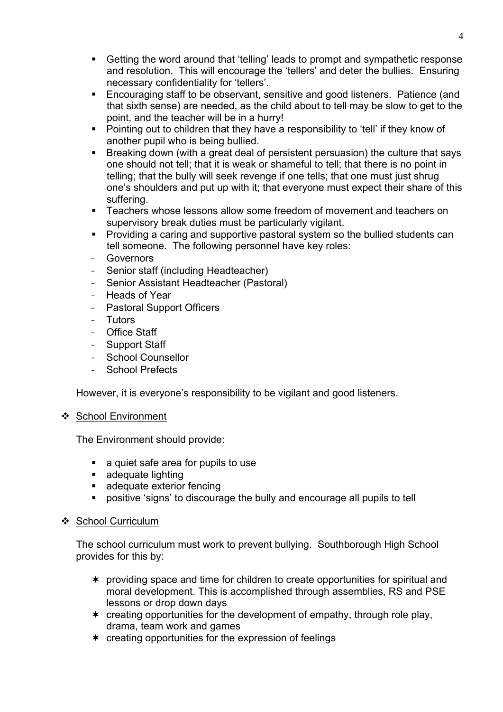- Getting the word around that 'telling' leads to prompt and sympathetic response and resolution. This will encourage the 'tellers' and deter the bullies. Ensuring necessary confidentiality for 'tellers'.
- Encouraging staff to be observant, sensitive and good listeners. Patience (and that sixth sense) are needed, as the child about to tell may be slow to get to the point, and the teacher will be in a hurry!
- Pointing out to children that they have a responsibility to 'tell' if they know of another pupil who is being bullied.
- Breaking down (with a great deal of persistent persuasion) the culture that says one should not tell; that it is weak or shameful to tell; that there is no point in telling; that the bully will seek revenge if one tells; that one must just shrug one's shoulders and put up with it; that everyone must expect their share of this suffering.
- Teachers whose lessons allow some freedom of movement and teachers on supervisory break duties must be particularly vigilant.
- **Providing a caring and supportive pastoral system so the bullied students can** tell someone. The following personnel have key roles:
- **Governors**
- Senior staff (including Headteacher)
- Senior Assistant Headteacher (Pastoral)
- Heads of Year
- Pastoral Support Officers
- **Tutors**
- Office Staff
- Support Staff
- School Counsellor
- School Prefects

However, it is everyone's responsibility to be vigilant and good listeners.

## ❖ School Environment

The Environment should provide:

- a quiet safe area for pupils to use
- **adequate lighting**
- **adequate exterior fencing**
- positive 'signs' to discourage the bully and encourage all pupils to tell

## ❖ School Curriculum

The school curriculum must work to prevent bullying. Southborough High School provides for this by:

- providing space and time for children to create opportunities for spiritual and moral development. This is accomplished through assemblies, RS and PSE lessons or drop down days
- creating opportunities for the development of empathy, through role play, drama, team work and games
- creating opportunities for the expression of feelings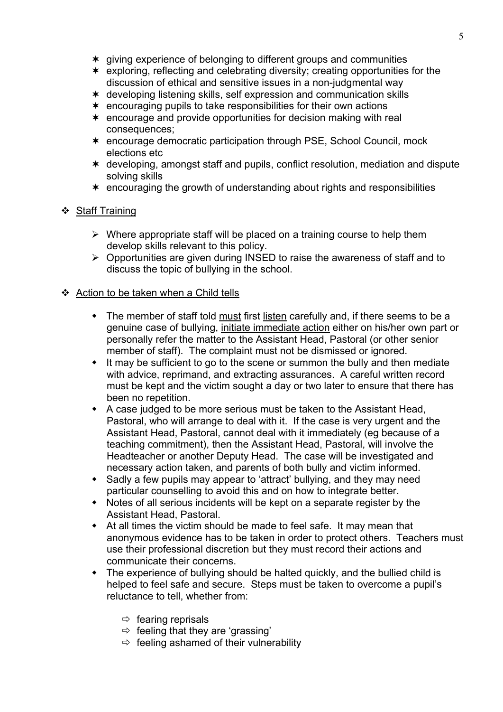- giving experience of belonging to different groups and communities
- exploring, reflecting and celebrating diversity; creating opportunities for the discussion of ethical and sensitive issues in a non-judgmental way
- developing listening skills, self expression and communication skills
- encouraging pupils to take responsibilities for their own actions
- encourage and provide opportunities for decision making with real consequences;
- encourage democratic participation through PSE, School Council, mock elections etc
- developing, amongst staff and pupils, conflict resolution, mediation and dispute solving skills
- encouraging the growth of understanding about rights and responsibilities

## ❖ Staff Training

- $\triangleright$  Where appropriate staff will be placed on a training course to help them develop skills relevant to this policy.
- Opportunities are given during INSED to raise the awareness of staff and to discuss the topic of bullying in the school.

## ❖ Action to be taken when a Child tells

- The member of staff told must first listen carefully and, if there seems to be a genuine case of bullying, initiate immediate action either on his/her own part or personally refer the matter to the Assistant Head, Pastoral (or other senior member of staff). The complaint must not be dismissed or ignored.
- It may be sufficient to go to the scene or summon the bully and then mediate with advice, reprimand, and extracting assurances. A careful written record must be kept and the victim sought a day or two later to ensure that there has been no repetition.
- A case judged to be more serious must be taken to the Assistant Head, Pastoral, who will arrange to deal with it. If the case is very urgent and the Assistant Head, Pastoral, cannot deal with it immediately (eg because of a teaching commitment), then the Assistant Head, Pastoral, will involve the Headteacher or another Deputy Head. The case will be investigated and necessary action taken, and parents of both bully and victim informed.
- Sadly a few pupils may appear to 'attract' bullying, and they may need particular counselling to avoid this and on how to integrate better.
- Notes of all serious incidents will be kept on a separate register by the Assistant Head, Pastoral.
- At all times the victim should be made to feel safe. It may mean that anonymous evidence has to be taken in order to protect others. Teachers must use their professional discretion but they must record their actions and communicate their concerns.
- The experience of bullying should be halted quickly, and the bullied child is helped to feel safe and secure. Steps must be taken to overcome a pupil's reluctance to tell, whether from:
	- $\Rightarrow$  fearing reprisals
	- $\Rightarrow$  feeling that they are 'grassing'
	- $\Rightarrow$  feeling ashamed of their vulnerability